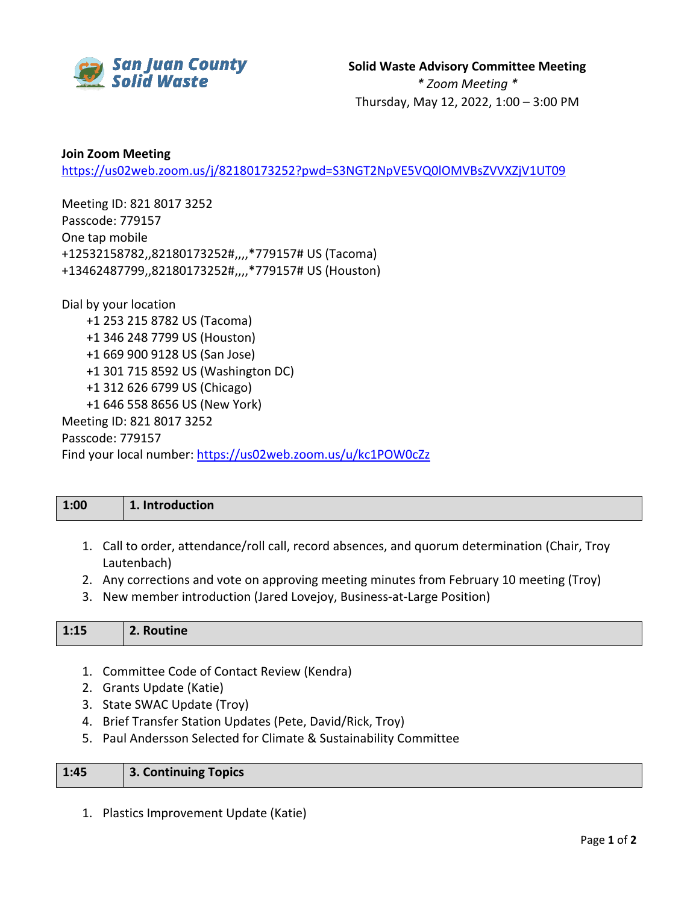

## **Join Zoom Meeting** <https://us02web.zoom.us/j/82180173252?pwd=S3NGT2NpVE5VQ0lOMVBsZVVXZjV1UT09>

Meeting ID: 821 8017 3252 Passcode: 779157 One tap mobile +12532158782,,82180173252#,,,,\*779157# US (Tacoma) +13462487799,,82180173252#,,,,\*779157# US (Houston)

Dial by your location +1 253 215 8782 US (Tacoma) +1 346 248 7799 US (Houston) +1 669 900 9128 US (San Jose) +1 301 715 8592 US (Washington DC) +1 312 626 6799 US (Chicago) +1 646 558 8656 US (New York) Meeting ID: 821 8017 3252 Passcode: 779157 Find your local number:<https://us02web.zoom.us/u/kc1POW0cZz>

| 1:00 | 1. Introduction                                                                                               |
|------|---------------------------------------------------------------------------------------------------------------|
|      | 1. Call to order, attendance/roll call, record absences, and quorum determination (Chair, Troy<br>Lautenbach) |

- 2. Any corrections and vote on approving meeting minutes from February 10 meeting (Troy)
- 3. New member introduction (Jared Lovejoy, Business-at-Large Position)

| 1:15<br>2. Routine |
|--------------------|
|--------------------|

- 1. Committee Code of Contact Review (Kendra)
- 2. Grants Update (Katie)
- 3. State SWAC Update (Troy)
- 4. Brief Transfer Station Updates (Pete, David/Rick, Troy)
- 5. Paul Andersson Selected for Climate & Sustainability Committee

| 1:45 | 3. Continuing Topics |
|------|----------------------|
|      |                      |

1. Plastics Improvement Update (Katie)